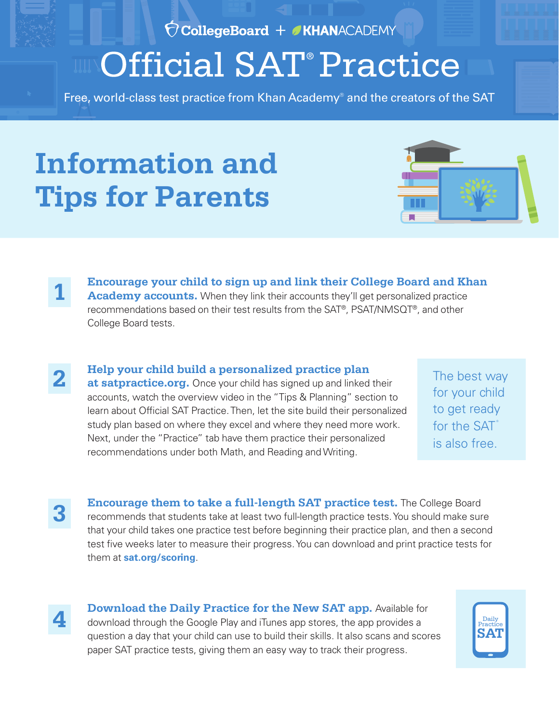Ó CollegeBoard + KHANACADEMY

## **Official SAT<sup>®</sup> Practice**

Free, world-class test practice from Khan Academy® and the creators of the SAT

## **Information and Tips for Parents**



**Encourage your child to sign up and link their College Board and Khan**  Academy accounts. When they link their accounts they'll get personalized practice recommendations based on their test results from the SAT®, PSAT/NMSQT®, and other College Board tests.

**Help your child build a personalized practice plan** at satpractice.org. Once your child has signed up and linked their accounts, watch the overview video in the "Tips & Planning" section to learn about Official SAT Practice. Then, let the site build their personalized study plan based on where they excel and where they need more work. Next, under the "Practice" tab have them practice their personalized recommendations under both Math, and Reading and Writing.

The best way for your child to get ready for the SAT<sup>®</sup> is also free.

**3**

**1**

**2**

**Encourage them to take a full-length SAT practice test.** The College Board recommends that students take at least two full-length practice tests. You should make sure that your child takes one practice test before beginning their practice plan, and then a second test five weeks later to measure their progress. You can download and print practice tests for them at **sat.org/scoring**.

**4**

**Download the Daily Practice for the New SAT app.** Available for download through the Google Play and iTunes app stores, the app provides a question a day that your child can use to build their skills. It also scans and scores paper SAT practice tests, giving them an easy way to track their progress.